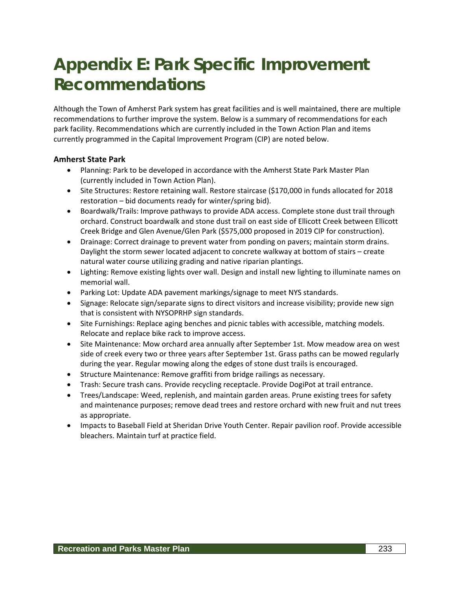# **Appendix E: Park Specific Improvement Recommendations**

Although the Town of Amherst Park system has great facilities and is well maintained, there are multiple recommendations to further improve the system. Below is a summary of recommendations for each park facility. Recommendations which are currently included in the Town Action Plan and items currently programmed in the Capital Improvement Program (CIP) are noted below.

## **Amherst State Park**

- Planning: Park to be developed in accordance with the Amherst State Park Master Plan (currently included in Town Action Plan).
- Site Structures: Restore retaining wall. Restore staircase (\$170,000 in funds allocated for 2018 restoration – bid documents ready for winter/spring bid).
- Boardwalk/Trails: Improve pathways to provide ADA access. Complete stone dust trail through orchard. Construct boardwalk and stone dust trail on east side of Ellicott Creek between Ellicott Creek Bridge and Glen Avenue/Glen Park (\$575,000 proposed in 2019 CIP for construction).
- Drainage: Correct drainage to prevent water from ponding on pavers; maintain storm drains. Daylight the storm sewer located adjacent to concrete walkway at bottom of stairs – create natural water course utilizing grading and native riparian plantings.
- Lighting: Remove existing lights over wall. Design and install new lighting to illuminate names on memorial wall.
- Parking Lot: Update ADA pavement markings/signage to meet NYS standards.
- Signage: Relocate sign/separate signs to direct visitors and increase visibility; provide new sign that is consistent with NYSOPRHP sign standards.
- Site Furnishings: Replace aging benches and picnic tables with accessible, matching models. Relocate and replace bike rack to improve access.
- Site Maintenance: Mow orchard area annually after September 1st. Mow meadow area on west side of creek every two or three years after September 1st. Grass paths can be mowed regularly during the year. Regular mowing along the edges of stone dust trails is encouraged.
- Structure Maintenance: Remove graffiti from bridge railings as necessary.
- Trash: Secure trash cans. Provide recycling receptacle. Provide DogiPot at trail entrance.
- Trees/Landscape: Weed, replenish, and maintain garden areas. Prune existing trees for safety and maintenance purposes; remove dead trees and restore orchard with new fruit and nut trees as appropriate.
- Impacts to Baseball Field at Sheridan Drive Youth Center. Repair pavilion roof. Provide accessible bleachers. Maintain turf at practice field.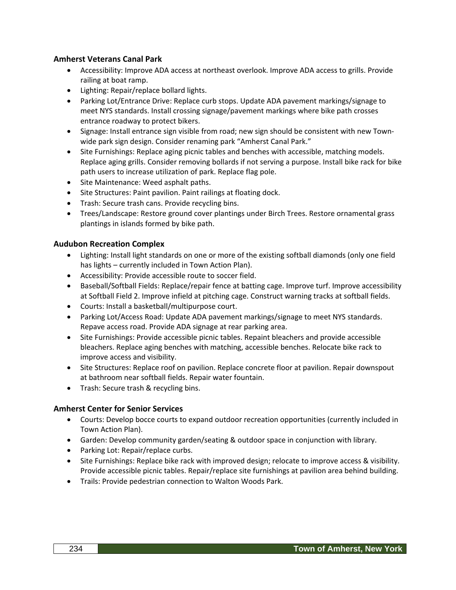## **Amherst Veterans Canal Park**

- Accessibility: Improve ADA access at northeast overlook. Improve ADA access to grills. Provide railing at boat ramp.
- Lighting: Repair/replace bollard lights.
- Parking Lot/Entrance Drive: Replace curb stops. Update ADA pavement markings/signage to meet NYS standards. Install crossing signage/pavement markings where bike path crosses entrance roadway to protect bikers.
- Signage: Install entrance sign visible from road; new sign should be consistent with new Townwide park sign design. Consider renaming park "Amherst Canal Park."
- Site Furnishings: Replace aging picnic tables and benches with accessible, matching models. Replace aging grills. Consider removing bollards if not serving a purpose. Install bike rack for bike path users to increase utilization of park. Replace flag pole.
- Site Maintenance: Weed asphalt paths.
- Site Structures: Paint pavilion. Paint railings at floating dock.
- Trash: Secure trash cans. Provide recycling bins.
- Trees/Landscape: Restore ground cover plantings under Birch Trees. Restore ornamental grass plantings in islands formed by bike path.

#### **Audubon Recreation Complex**

- Lighting: Install light standards on one or more of the existing softball diamonds (only one field has lights – currently included in Town Action Plan).
- Accessibility: Provide accessible route to soccer field.
- Baseball/Softball Fields: Replace/repair fence at batting cage. Improve turf. Improve accessibility at Softball Field 2. Improve infield at pitching cage. Construct warning tracks at softball fields.
- Courts: Install a basketball/multipurpose court.
- Parking Lot/Access Road: Update ADA pavement markings/signage to meet NYS standards. Repave access road. Provide ADA signage at rear parking area.
- Site Furnishings: Provide accessible picnic tables. Repaint bleachers and provide accessible bleachers. Replace aging benches with matching, accessible benches. Relocate bike rack to improve access and visibility.
- Site Structures: Replace roof on pavilion. Replace concrete floor at pavilion. Repair downspout at bathroom near softball fields. Repair water fountain.
- Trash: Secure trash & recycling bins.

#### **Amherst Center for Senior Services**

- Courts: Develop bocce courts to expand outdoor recreation opportunities (currently included in Town Action Plan).
- Garden: Develop community garden/seating & outdoor space in conjunction with library.
- Parking Lot: Repair/replace curbs.
- Site Furnishings: Replace bike rack with improved design; relocate to improve access & visibility. Provide accessible picnic tables. Repair/replace site furnishings at pavilion area behind building.
- Trails: Provide pedestrian connection to Walton Woods Park.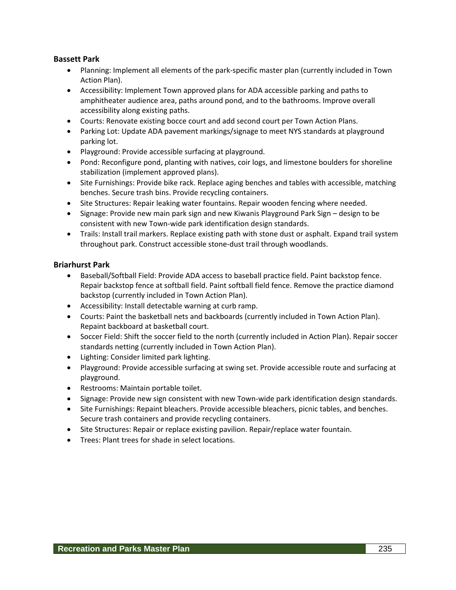## **Bassett Park**

- Planning: Implement all elements of the park-specific master plan (currently included in Town Action Plan).
- Accessibility: Implement Town approved plans for ADA accessible parking and paths to amphitheater audience area, paths around pond, and to the bathrooms. Improve overall accessibility along existing paths.
- Courts: Renovate existing bocce court and add second court per Town Action Plans.
- Parking Lot: Update ADA pavement markings/signage to meet NYS standards at playground parking lot.
- Playground: Provide accessible surfacing at playground.
- Pond: Reconfigure pond, planting with natives, coir logs, and limestone boulders for shoreline stabilization (implement approved plans).
- Site Furnishings: Provide bike rack. Replace aging benches and tables with accessible, matching benches. Secure trash bins. Provide recycling containers.
- Site Structures: Repair leaking water fountains. Repair wooden fencing where needed.
- Signage: Provide new main park sign and new Kiwanis Playground Park Sign design to be consistent with new Town-wide park identification design standards.
- Trails: Install trail markers. Replace existing path with stone dust or asphalt. Expand trail system throughout park. Construct accessible stone-dust trail through woodlands.

## **Briarhurst Park**

- Baseball/Softball Field: Provide ADA access to baseball practice field. Paint backstop fence. Repair backstop fence at softball field. Paint softball field fence. Remove the practice diamond backstop (currently included in Town Action Plan).
- Accessibility: Install detectable warning at curb ramp.
- Courts: Paint the basketball nets and backboards (currently included in Town Action Plan). Repaint backboard at basketball court.
- Soccer Field: Shift the soccer field to the north (currently included in Action Plan). Repair soccer standards netting (currently included in Town Action Plan).
- Lighting: Consider limited park lighting.
- Playground: Provide accessible surfacing at swing set. Provide accessible route and surfacing at playground.
- Restrooms: Maintain portable toilet.
- Signage: Provide new sign consistent with new Town-wide park identification design standards.
- Site Furnishings: Repaint bleachers. Provide accessible bleachers, picnic tables, and benches. Secure trash containers and provide recycling containers.
- Site Structures: Repair or replace existing pavilion. Repair/replace water fountain.
- Trees: Plant trees for shade in select locations.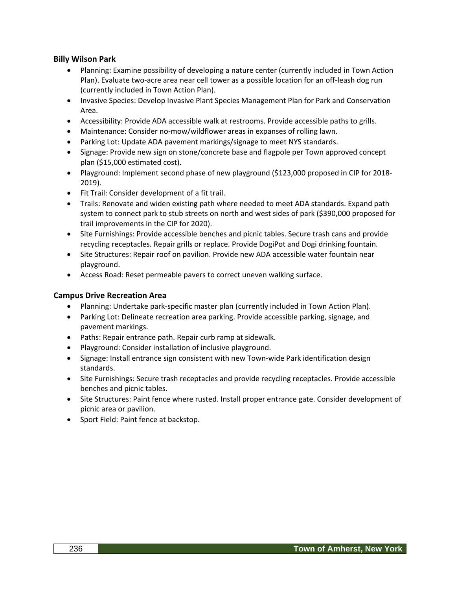## **Billy Wilson Park**

- Planning: Examine possibility of developing a nature center (currently included in Town Action Plan). Evaluate two-acre area near cell tower as a possible location for an off-leash dog run (currently included in Town Action Plan).
- Invasive Species: Develop Invasive Plant Species Management Plan for Park and Conservation Area.
- Accessibility: Provide ADA accessible walk at restrooms. Provide accessible paths to grills.
- Maintenance: Consider no-mow/wildflower areas in expanses of rolling lawn.
- Parking Lot: Update ADA pavement markings/signage to meet NYS standards.
- Signage: Provide new sign on stone/concrete base and flagpole per Town approved concept plan (\$15,000 estimated cost).
- Playground: Implement second phase of new playground (\$123,000 proposed in CIP for 2018- 2019).
- Fit Trail: Consider development of a fit trail.
- Trails: Renovate and widen existing path where needed to meet ADA standards. Expand path system to connect park to stub streets on north and west sides of park (\$390,000 proposed for trail improvements in the CIP for 2020).
- Site Furnishings: Provide accessible benches and picnic tables. Secure trash cans and provide recycling receptacles. Repair grills or replace. Provide DogiPot and Dogi drinking fountain.
- Site Structures: Repair roof on pavilion. Provide new ADA accessible water fountain near playground.
- Access Road: Reset permeable pavers to correct uneven walking surface.

#### **Campus Drive Recreation Area**

- Planning: Undertake park-specific master plan (currently included in Town Action Plan).
- Parking Lot: Delineate recreation area parking. Provide accessible parking, signage, and pavement markings.
- Paths: Repair entrance path. Repair curb ramp at sidewalk.
- Playground: Consider installation of inclusive playground.
- Signage: Install entrance sign consistent with new Town-wide Park identification design standards.
- Site Furnishings: Secure trash receptacles and provide recycling receptacles. Provide accessible benches and picnic tables.
- Site Structures: Paint fence where rusted. Install proper entrance gate. Consider development of picnic area or pavilion.
- Sport Field: Paint fence at backstop.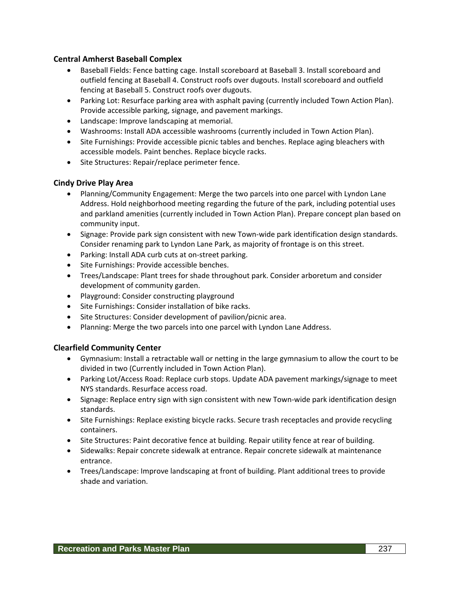## **Central Amherst Baseball Complex**

- Baseball Fields: Fence batting cage. Install scoreboard at Baseball 3. Install scoreboard and outfield fencing at Baseball 4. Construct roofs over dugouts. Install scoreboard and outfield fencing at Baseball 5. Construct roofs over dugouts.
- Parking Lot: Resurface parking area with asphalt paving (currently included Town Action Plan). Provide accessible parking, signage, and pavement markings.
- Landscape: Improve landscaping at memorial.
- Washrooms: Install ADA accessible washrooms (currently included in Town Action Plan).
- Site Furnishings: Provide accessible picnic tables and benches. Replace aging bleachers with accessible models. Paint benches. Replace bicycle racks.
- Site Structures: Repair/replace perimeter fence.

## **Cindy Drive Play Area**

- Planning/Community Engagement: Merge the two parcels into one parcel with Lyndon Lane Address. Hold neighborhood meeting regarding the future of the park, including potential uses and parkland amenities (currently included in Town Action Plan). Prepare concept plan based on community input.
- Signage: Provide park sign consistent with new Town-wide park identification design standards. Consider renaming park to Lyndon Lane Park, as majority of frontage is on this street.
- Parking: Install ADA curb cuts at on-street parking.
- Site Furnishings: Provide accessible benches.
- Trees/Landscape: Plant trees for shade throughout park. Consider arboretum and consider development of community garden.
- Playground: Consider constructing playground
- Site Furnishings: Consider installation of bike racks.
- Site Structures: Consider development of pavilion/picnic area.
- Planning: Merge the two parcels into one parcel with Lyndon Lane Address.

#### **Clearfield Community Center**

- Gymnasium: Install a retractable wall or netting in the large gymnasium to allow the court to be divided in two (Currently included in Town Action Plan).
- Parking Lot/Access Road: Replace curb stops. Update ADA pavement markings/signage to meet NYS standards. Resurface access road.
- Signage: Replace entry sign with sign consistent with new Town-wide park identification design standards.
- Site Furnishings: Replace existing bicycle racks. Secure trash receptacles and provide recycling containers.
- Site Structures: Paint decorative fence at building. Repair utility fence at rear of building.
- Sidewalks: Repair concrete sidewalk at entrance. Repair concrete sidewalk at maintenance entrance.
- Trees/Landscape: Improve landscaping at front of building. Plant additional trees to provide shade and variation.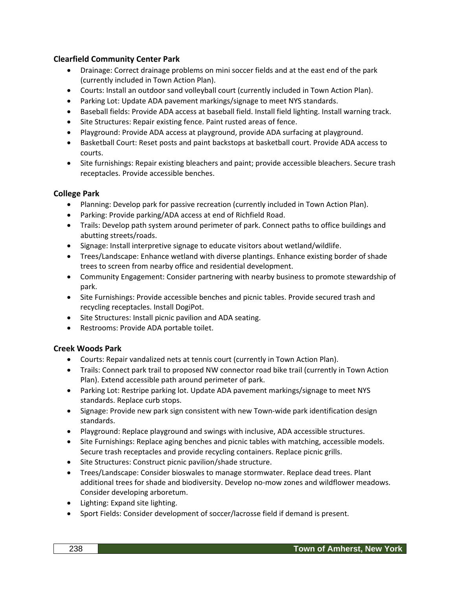## **Clearfield Community Center Park**

- Drainage: Correct drainage problems on mini soccer fields and at the east end of the park (currently included in Town Action Plan).
- Courts: Install an outdoor sand volleyball court (currently included in Town Action Plan).
- Parking Lot: Update ADA pavement markings/signage to meet NYS standards.
- Baseball fields: Provide ADA access at baseball field. Install field lighting. Install warning track.
- Site Structures: Repair existing fence. Paint rusted areas of fence.
- Playground: Provide ADA access at playground, provide ADA surfacing at playground.
- Basketball Court: Reset posts and paint backstops at basketball court. Provide ADA access to courts.
- Site furnishings: Repair existing bleachers and paint; provide accessible bleachers. Secure trash receptacles. Provide accessible benches.

## **College Park**

- Planning: Develop park for passive recreation (currently included in Town Action Plan).
- Parking: Provide parking/ADA access at end of Richfield Road.
- Trails: Develop path system around perimeter of park. Connect paths to office buildings and abutting streets/roads.
- Signage: Install interpretive signage to educate visitors about wetland/wildlife.
- Trees/Landscape: Enhance wetland with diverse plantings. Enhance existing border of shade trees to screen from nearby office and residential development.
- Community Engagement: Consider partnering with nearby business to promote stewardship of park.
- Site Furnishings: Provide accessible benches and picnic tables. Provide secured trash and recycling receptacles. Install DogiPot.
- Site Structures: Install picnic pavilion and ADA seating.
- Restrooms: Provide ADA portable toilet.

## **Creek Woods Park**

- Courts: Repair vandalized nets at tennis court (currently in Town Action Plan).
- Trails: Connect park trail to proposed NW connector road bike trail (currently in Town Action Plan). Extend accessible path around perimeter of park.
- Parking Lot: Restripe parking lot. Update ADA pavement markings/signage to meet NYS standards. Replace curb stops.
- Signage: Provide new park sign consistent with new Town-wide park identification design standards.
- Playground: Replace playground and swings with inclusive, ADA accessible structures.
- Site Furnishings: Replace aging benches and picnic tables with matching, accessible models. Secure trash receptacles and provide recycling containers. Replace picnic grills.
- Site Structures: Construct picnic pavilion/shade structure.
- Trees/Landscape: Consider bioswales to manage stormwater. Replace dead trees. Plant additional trees for shade and biodiversity. Develop no-mow zones and wildflower meadows. Consider developing arboretum.
- Lighting: Expand site lighting.
- Sport Fields: Consider development of soccer/lacrosse field if demand is present.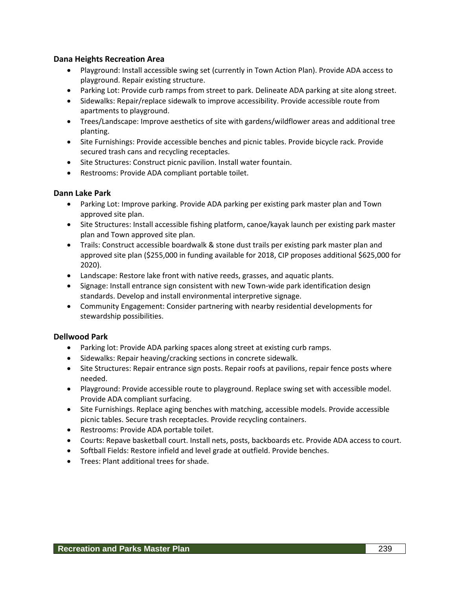## **Dana Heights Recreation Area**

- Playground: Install accessible swing set (currently in Town Action Plan). Provide ADA access to playground. Repair existing structure.
- Parking Lot: Provide curb ramps from street to park. Delineate ADA parking at site along street.
- Sidewalks: Repair/replace sidewalk to improve accessibility. Provide accessible route from apartments to playground.
- Trees/Landscape: Improve aesthetics of site with gardens/wildflower areas and additional tree planting.
- Site Furnishings: Provide accessible benches and picnic tables. Provide bicycle rack. Provide secured trash cans and recycling receptacles.
- Site Structures: Construct picnic pavilion. Install water fountain.
- Restrooms: Provide ADA compliant portable toilet.

## **Dann Lake Park**

- Parking Lot: Improve parking. Provide ADA parking per existing park master plan and Town approved site plan.
- Site Structures: Install accessible fishing platform, canoe/kayak launch per existing park master plan and Town approved site plan.
- Trails: Construct accessible boardwalk & stone dust trails per existing park master plan and approved site plan (\$255,000 in funding available for 2018, CIP proposes additional \$625,000 for 2020).
- Landscape: Restore lake front with native reeds, grasses, and aquatic plants.
- Signage: Install entrance sign consistent with new Town-wide park identification design standards. Develop and install environmental interpretive signage.
- Community Engagement: Consider partnering with nearby residential developments for stewardship possibilities.

#### **Dellwood Park**

- Parking lot: Provide ADA parking spaces along street at existing curb ramps.
- Sidewalks: Repair heaving/cracking sections in concrete sidewalk.
- Site Structures: Repair entrance sign posts. Repair roofs at pavilions, repair fence posts where needed.
- Playground: Provide accessible route to playground. Replace swing set with accessible model. Provide ADA compliant surfacing.
- Site Furnishings. Replace aging benches with matching, accessible models. Provide accessible picnic tables. Secure trash receptacles. Provide recycling containers.
- Restrooms: Provide ADA portable toilet.
- Courts: Repave basketball court. Install nets, posts, backboards etc. Provide ADA access to court.
- Softball Fields: Restore infield and level grade at outfield. Provide benches.
- Trees: Plant additional trees for shade.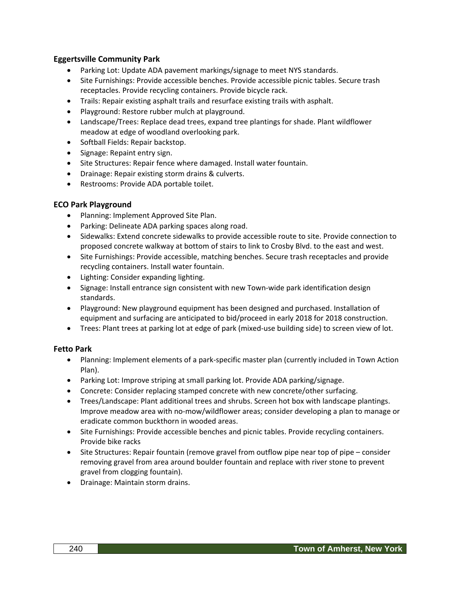## **Eggertsville Community Park**

- Parking Lot: Update ADA pavement markings/signage to meet NYS standards.
- Site Furnishings: Provide accessible benches. Provide accessible picnic tables. Secure trash receptacles. Provide recycling containers. Provide bicycle rack.
- Trails: Repair existing asphalt trails and resurface existing trails with asphalt.
- Playground: Restore rubber mulch at playground.
- Landscape/Trees: Replace dead trees, expand tree plantings for shade. Plant wildflower meadow at edge of woodland overlooking park.
- Softball Fields: Repair backstop.
- Signage: Repaint entry sign.
- Site Structures: Repair fence where damaged. Install water fountain.
- Drainage: Repair existing storm drains & culverts.
- Restrooms: Provide ADA portable toilet.

## **ECO Park Playground**

- Planning: Implement Approved Site Plan.
- Parking: Delineate ADA parking spaces along road.
- Sidewalks: Extend concrete sidewalks to provide accessible route to site. Provide connection to proposed concrete walkway at bottom of stairs to link to Crosby Blvd. to the east and west.
- Site Furnishings: Provide accessible, matching benches. Secure trash receptacles and provide recycling containers. Install water fountain.
- Lighting: Consider expanding lighting.
- Signage: Install entrance sign consistent with new Town-wide park identification design standards.
- Playground: New playground equipment has been designed and purchased. Installation of equipment and surfacing are anticipated to bid/proceed in early 2018 for 2018 construction.
- Trees: Plant trees at parking lot at edge of park (mixed-use building side) to screen view of lot.

## **Fetto Park**

- Planning: Implement elements of a park-specific master plan (currently included in Town Action Plan).
- Parking Lot: Improve striping at small parking lot. Provide ADA parking/signage.
- Concrete: Consider replacing stamped concrete with new concrete/other surfacing.
- Trees/Landscape: Plant additional trees and shrubs. Screen hot box with landscape plantings. Improve meadow area with no-mow/wildflower areas; consider developing a plan to manage or eradicate common buckthorn in wooded areas.
- Site Furnishings: Provide accessible benches and picnic tables. Provide recycling containers. Provide bike racks
- Site Structures: Repair fountain (remove gravel from outflow pipe near top of pipe consider removing gravel from area around boulder fountain and replace with river stone to prevent gravel from clogging fountain).
- Drainage: Maintain storm drains.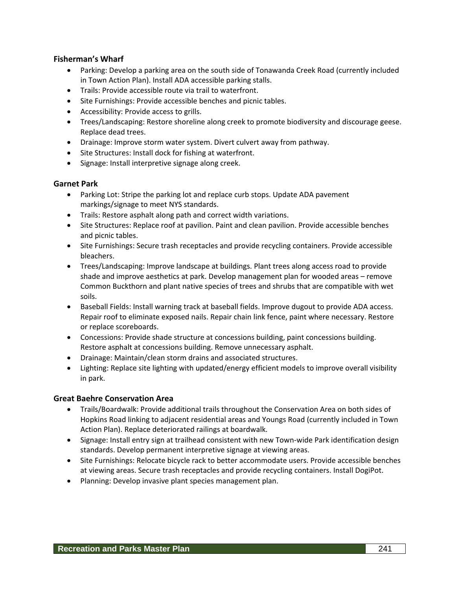## **Fisherman's Wharf**

- Parking: Develop a parking area on the south side of Tonawanda Creek Road (currently included in Town Action Plan). Install ADA accessible parking stalls.
- Trails: Provide accessible route via trail to waterfront.
- Site Furnishings: Provide accessible benches and picnic tables.
- Accessibility: Provide access to grills.
- Trees/Landscaping: Restore shoreline along creek to promote biodiversity and discourage geese. Replace dead trees.
- Drainage: Improve storm water system. Divert culvert away from pathway.
- Site Structures: Install dock for fishing at waterfront.
- Signage: Install interpretive signage along creek.

## **Garnet Park**

- Parking Lot: Stripe the parking lot and replace curb stops. Update ADA pavement markings/signage to meet NYS standards.
- Trails: Restore asphalt along path and correct width variations.
- Site Structures: Replace roof at pavilion. Paint and clean pavilion. Provide accessible benches and picnic tables.
- Site Furnishings: Secure trash receptacles and provide recycling containers. Provide accessible bleachers.
- Trees/Landscaping: Improve landscape at buildings. Plant trees along access road to provide shade and improve aesthetics at park. Develop management plan for wooded areas – remove Common Buckthorn and plant native species of trees and shrubs that are compatible with wet soils.
- Baseball Fields: Install warning track at baseball fields. Improve dugout to provide ADA access. Repair roof to eliminate exposed nails. Repair chain link fence, paint where necessary. Restore or replace scoreboards.
- Concessions: Provide shade structure at concessions building, paint concessions building. Restore asphalt at concessions building. Remove unnecessary asphalt.
- Drainage: Maintain/clean storm drains and associated structures.
- Lighting: Replace site lighting with updated/energy efficient models to improve overall visibility in park.

## **Great Baehre Conservation Area**

- Trails/Boardwalk: Provide additional trails throughout the Conservation Area on both sides of Hopkins Road linking to adjacent residential areas and Youngs Road (currently included in Town Action Plan). Replace deteriorated railings at boardwalk.
- Signage: Install entry sign at trailhead consistent with new Town-wide Park identification design standards. Develop permanent interpretive signage at viewing areas.
- Site Furnishings: Relocate bicycle rack to better accommodate users. Provide accessible benches at viewing areas. Secure trash receptacles and provide recycling containers. Install DogiPot.
- Planning: Develop invasive plant species management plan.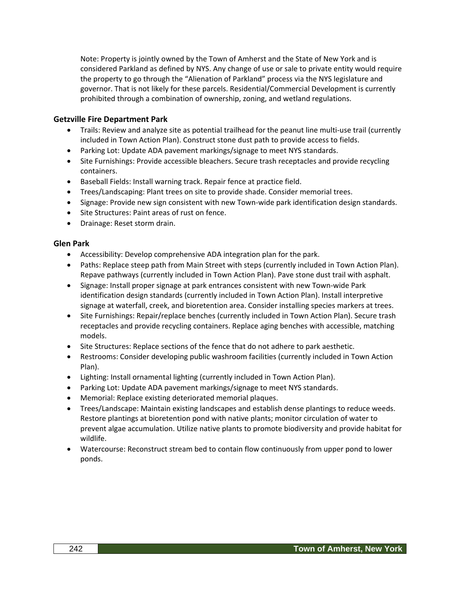Note: Property is jointly owned by the Town of Amherst and the State of New York and is considered Parkland as defined by NYS. Any change of use or sale to private entity would require the property to go through the "Alienation of Parkland" process via the NYS legislature and governor. That is not likely for these parcels. Residential/Commercial Development is currently prohibited through a combination of ownership, zoning, and wetland regulations.

## **Getzville Fire Department Park**

- Trails: Review and analyze site as potential trailhead for the peanut line multi-use trail (currently included in Town Action Plan). Construct stone dust path to provide access to fields.
- Parking Lot: Update ADA pavement markings/signage to meet NYS standards.
- Site Furnishings: Provide accessible bleachers. Secure trash receptacles and provide recycling containers.
- Baseball Fields: Install warning track. Repair fence at practice field.
- Trees/Landscaping: Plant trees on site to provide shade. Consider memorial trees.
- Signage: Provide new sign consistent with new Town-wide park identification design standards.
- Site Structures: Paint areas of rust on fence.
- Drainage: Reset storm drain.

#### **Glen Park**

- Accessibility: Develop comprehensive ADA integration plan for the park.
- Paths: Replace steep path from Main Street with steps (currently included in Town Action Plan). Repave pathways (currently included in Town Action Plan). Pave stone dust trail with asphalt.
- Signage: Install proper signage at park entrances consistent with new Town-wide Park identification design standards (currently included in Town Action Plan). Install interpretive signage at waterfall, creek, and bioretention area. Consider installing species markers at trees.
- Site Furnishings: Repair/replace benches (currently included in Town Action Plan). Secure trash receptacles and provide recycling containers. Replace aging benches with accessible, matching models.
- Site Structures: Replace sections of the fence that do not adhere to park aesthetic.
- Restrooms: Consider developing public washroom facilities (currently included in Town Action Plan).
- Lighting: Install ornamental lighting (currently included in Town Action Plan).
- Parking Lot: Update ADA pavement markings/signage to meet NYS standards.
- Memorial: Replace existing deteriorated memorial plaques.
- Trees/Landscape: Maintain existing landscapes and establish dense plantings to reduce weeds. Restore plantings at bioretention pond with native plants; monitor circulation of water to prevent algae accumulation. Utilize native plants to promote biodiversity and provide habitat for wildlife.
- Watercourse: Reconstruct stream bed to contain flow continuously from upper pond to lower ponds.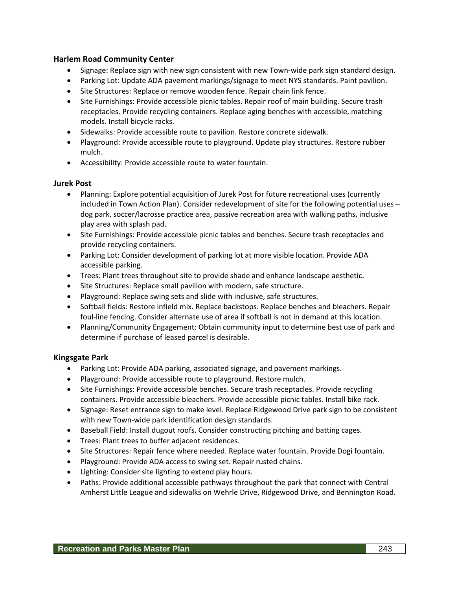## **Harlem Road Community Center**

- Signage: Replace sign with new sign consistent with new Town-wide park sign standard design.
- Parking Lot: Update ADA pavement markings/signage to meet NYS standards. Paint pavilion.
- Site Structures: Replace or remove wooden fence. Repair chain link fence.
- Site Furnishings: Provide accessible picnic tables. Repair roof of main building. Secure trash receptacles. Provide recycling containers. Replace aging benches with accessible, matching models. Install bicycle racks.
- Sidewalks: Provide accessible route to pavilion. Restore concrete sidewalk.
- Playground: Provide accessible route to playground. Update play structures. Restore rubber mulch.
- Accessibility: Provide accessible route to water fountain.

#### **Jurek Post**

- Planning: Explore potential acquisition of Jurek Post for future recreational uses (currently included in Town Action Plan). Consider redevelopment of site for the following potential uses – dog park, soccer/lacrosse practice area, passive recreation area with walking paths, inclusive play area with splash pad.
- Site Furnishings: Provide accessible picnic tables and benches. Secure trash receptacles and provide recycling containers.
- Parking Lot: Consider development of parking lot at more visible location. Provide ADA accessible parking.
- Trees: Plant trees throughout site to provide shade and enhance landscape aesthetic.
- Site Structures: Replace small pavilion with modern, safe structure.
- Playground: Replace swing sets and slide with inclusive, safe structures.
- Softball fields: Restore infield mix. Replace backstops. Replace benches and bleachers. Repair foul-line fencing. Consider alternate use of area if softball is not in demand at this location.
- Planning/Community Engagement: Obtain community input to determine best use of park and determine if purchase of leased parcel is desirable.

#### **Kingsgate Park**

- Parking Lot: Provide ADA parking, associated signage, and pavement markings.
- Playground: Provide accessible route to playground. Restore mulch.
- Site Furnishings: Provide accessible benches. Secure trash receptacles. Provide recycling containers. Provide accessible bleachers. Provide accessible picnic tables. Install bike rack.
- Signage: Reset entrance sign to make level. Replace Ridgewood Drive park sign to be consistent with new Town-wide park identification design standards.
- Baseball Field: Install dugout roofs. Consider constructing pitching and batting cages.
- Trees: Plant trees to buffer adjacent residences.
- Site Structures: Repair fence where needed. Replace water fountain. Provide Dogi fountain.
- Playground: Provide ADA access to swing set. Repair rusted chains.
- Lighting: Consider site lighting to extend play hours.
- Paths: Provide additional accessible pathways throughout the park that connect with Central Amherst Little League and sidewalks on Wehrle Drive, Ridgewood Drive, and Bennington Road.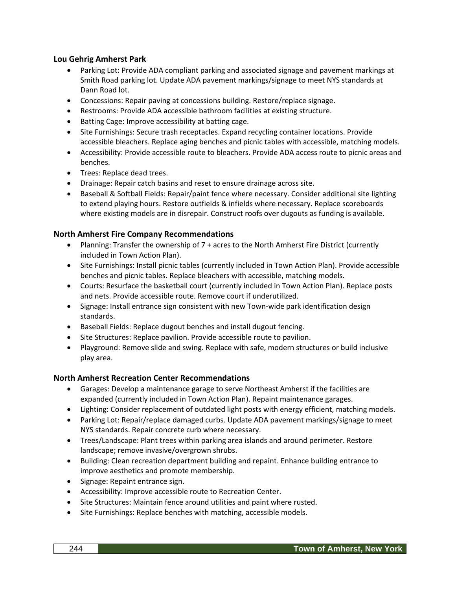## **Lou Gehrig Amherst Park**

- Parking Lot: Provide ADA compliant parking and associated signage and pavement markings at Smith Road parking lot. Update ADA pavement markings/signage to meet NYS standards at Dann Road lot.
- Concessions: Repair paving at concessions building. Restore/replace signage.
- Restrooms: Provide ADA accessible bathroom facilities at existing structure.
- Batting Cage: Improve accessibility at batting cage.
- Site Furnishings: Secure trash receptacles. Expand recycling container locations. Provide accessible bleachers. Replace aging benches and picnic tables with accessible, matching models.
- Accessibility: Provide accessible route to bleachers. Provide ADA access route to picnic areas and benches.
- Trees: Replace dead trees.
- Drainage: Repair catch basins and reset to ensure drainage across site.
- Baseball & Softball Fields: Repair/paint fence where necessary. Consider additional site lighting to extend playing hours. Restore outfields & infields where necessary. Replace scoreboards where existing models are in disrepair. Construct roofs over dugouts as funding is available.

#### **North Amherst Fire Company Recommendations**

- Planning: Transfer the ownership of 7 + acres to the North Amherst Fire District (currently included in Town Action Plan).
- Site Furnishings: Install picnic tables (currently included in Town Action Plan). Provide accessible benches and picnic tables. Replace bleachers with accessible, matching models.
- Courts: Resurface the basketball court (currently included in Town Action Plan). Replace posts and nets. Provide accessible route. Remove court if underutilized.
- Signage: Install entrance sign consistent with new Town-wide park identification design standards.
- Baseball Fields: Replace dugout benches and install dugout fencing.
- Site Structures: Replace pavilion. Provide accessible route to pavilion.
- Playground: Remove slide and swing. Replace with safe, modern structures or build inclusive play area.

#### **North Amherst Recreation Center Recommendations**

- Garages: Develop a maintenance garage to serve Northeast Amherst if the facilities are expanded (currently included in Town Action Plan). Repaint maintenance garages.
- Lighting: Consider replacement of outdated light posts with energy efficient, matching models.
- Parking Lot: Repair/replace damaged curbs. Update ADA pavement markings/signage to meet NYS standards. Repair concrete curb where necessary.
- Trees/Landscape: Plant trees within parking area islands and around perimeter. Restore landscape; remove invasive/overgrown shrubs.
- Building: Clean recreation department building and repaint. Enhance building entrance to improve aesthetics and promote membership.
- Signage: Repaint entrance sign.
- Accessibility: Improve accessible route to Recreation Center.
- Site Structures: Maintain fence around utilities and paint where rusted.
- Site Furnishings: Replace benches with matching, accessible models.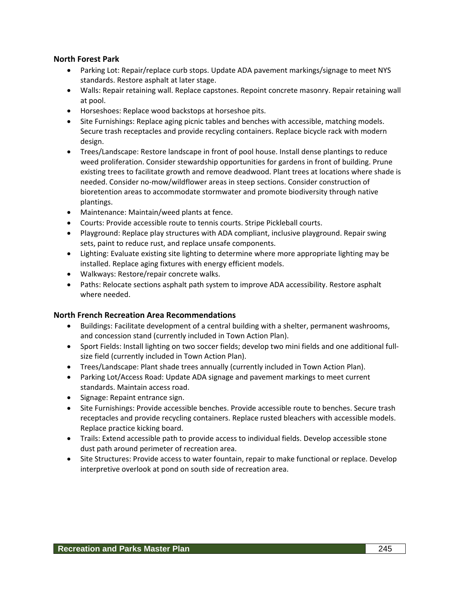## **North Forest Park**

- Parking Lot: Repair/replace curb stops. Update ADA pavement markings/signage to meet NYS standards. Restore asphalt at later stage.
- Walls: Repair retaining wall. Replace capstones. Repoint concrete masonry. Repair retaining wall at pool.
- Horseshoes: Replace wood backstops at horseshoe pits.
- Site Furnishings: Replace aging picnic tables and benches with accessible, matching models. Secure trash receptacles and provide recycling containers. Replace bicycle rack with modern design.
- Trees/Landscape: Restore landscape in front of pool house. Install dense plantings to reduce weed proliferation. Consider stewardship opportunities for gardens in front of building. Prune existing trees to facilitate growth and remove deadwood. Plant trees at locations where shade is needed. Consider no-mow/wildflower areas in steep sections. Consider construction of bioretention areas to accommodate stormwater and promote biodiversity through native plantings.
- Maintenance: Maintain/weed plants at fence.
- Courts: Provide accessible route to tennis courts. Stripe Pickleball courts.
- Playground: Replace play structures with ADA compliant, inclusive playground. Repair swing sets, paint to reduce rust, and replace unsafe components.
- Lighting: Evaluate existing site lighting to determine where more appropriate lighting may be installed. Replace aging fixtures with energy efficient models.
- Walkways: Restore/repair concrete walks.
- Paths: Relocate sections asphalt path system to improve ADA accessibility. Restore asphalt where needed.

#### **North French Recreation Area Recommendations**

- Buildings: Facilitate development of a central building with a shelter, permanent washrooms, and concession stand (currently included in Town Action Plan).
- Sport Fields: Install lighting on two soccer fields; develop two mini fields and one additional fullsize field (currently included in Town Action Plan).
- Trees/Landscape: Plant shade trees annually (currently included in Town Action Plan).
- Parking Lot/Access Road: Update ADA signage and pavement markings to meet current standards. Maintain access road.
- Signage: Repaint entrance sign.
- Site Furnishings: Provide accessible benches. Provide accessible route to benches. Secure trash receptacles and provide recycling containers. Replace rusted bleachers with accessible models. Replace practice kicking board.
- Trails: Extend accessible path to provide access to individual fields. Develop accessible stone dust path around perimeter of recreation area.
- Site Structures: Provide access to water fountain, repair to make functional or replace. Develop interpretive overlook at pond on south side of recreation area.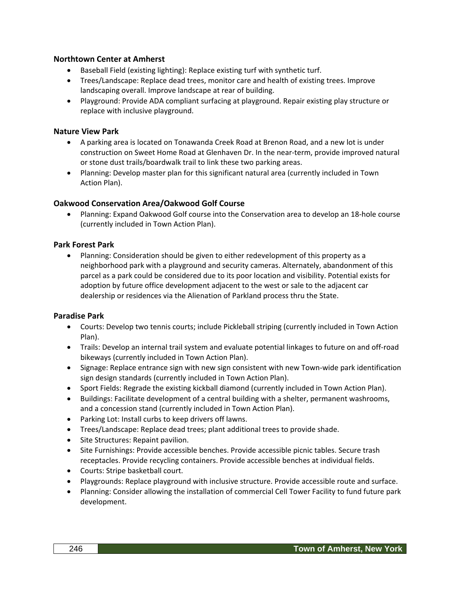## **Northtown Center at Amherst**

- Baseball Field (existing lighting): Replace existing turf with synthetic turf.
- Trees/Landscape: Replace dead trees, monitor care and health of existing trees. Improve landscaping overall. Improve landscape at rear of building.
- Playground: Provide ADA compliant surfacing at playground. Repair existing play structure or replace with inclusive playground.

## **Nature View Park**

- A parking area is located on Tonawanda Creek Road at Brenon Road, and a new lot is under construction on Sweet Home Road at Glenhaven Dr. In the near-term, provide improved natural or stone dust trails/boardwalk trail to link these two parking areas.
- Planning: Develop master plan for this significant natural area (currently included in Town Action Plan).

## **Oakwood Conservation Area/Oakwood Golf Course**

• Planning: Expand Oakwood Golf course into the Conservation area to develop an 18-hole course (currently included in Town Action Plan).

#### **Park Forest Park**

• Planning: Consideration should be given to either redevelopment of this property as a neighborhood park with a playground and security cameras. Alternately, abandonment of this parcel as a park could be considered due to its poor location and visibility. Potential exists for adoption by future office development adjacent to the west or sale to the adjacent car dealership or residences via the Alienation of Parkland process thru the State.

#### **Paradise Park**

- Courts: Develop two tennis courts; include Pickleball striping (currently included in Town Action Plan).
- Trails: Develop an internal trail system and evaluate potential linkages to future on and off-road bikeways (currently included in Town Action Plan).
- Signage: Replace entrance sign with new sign consistent with new Town-wide park identification sign design standards (currently included in Town Action Plan).
- Sport Fields: Regrade the existing kickball diamond (currently included in Town Action Plan).
- Buildings: Facilitate development of a central building with a shelter, permanent washrooms, and a concession stand (currently included in Town Action Plan).
- Parking Lot: Install curbs to keep drivers off lawns.
- Trees/Landscape: Replace dead trees; plant additional trees to provide shade.
- Site Structures: Repaint pavilion.
- Site Furnishings: Provide accessible benches. Provide accessible picnic tables. Secure trash receptacles. Provide recycling containers. Provide accessible benches at individual fields.
- Courts: Stripe basketball court.
- Playgrounds: Replace playground with inclusive structure. Provide accessible route and surface.
- Planning: Consider allowing the installation of commercial Cell Tower Facility to fund future park development.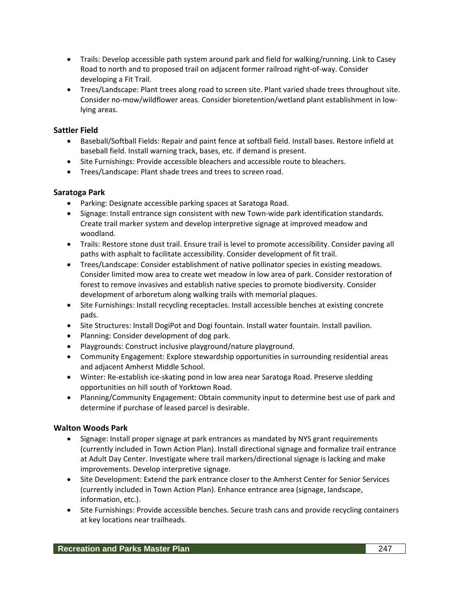- Trails: Develop accessible path system around park and field for walking/running. Link to Casey Road to north and to proposed trail on adjacent former railroad right-of-way. Consider developing a Fit Trail.
- Trees/Landscape: Plant trees along road to screen site. Plant varied shade trees throughout site. Consider no-mow/wildflower areas. Consider bioretention/wetland plant establishment in lowlying areas.

## **Sattler Field**

- Baseball/Softball Fields: Repair and paint fence at softball field. Install bases. Restore infield at baseball field. Install warning track, bases, etc. if demand is present.
- Site Furnishings: Provide accessible bleachers and accessible route to bleachers.
- Trees/Landscape: Plant shade trees and trees to screen road.

## **Saratoga Park**

- Parking: Designate accessible parking spaces at Saratoga Road.
- Signage: Install entrance sign consistent with new Town-wide park identification standards. Create trail marker system and develop interpretive signage at improved meadow and woodland.
- Trails: Restore stone dust trail. Ensure trail is level to promote accessibility. Consider paving all paths with asphalt to facilitate accessibility. Consider development of fit trail.
- Trees/Landscape: Consider establishment of native pollinator species in existing meadows. Consider limited mow area to create wet meadow in low area of park. Consider restoration of forest to remove invasives and establish native species to promote biodiversity. Consider development of arboretum along walking trails with memorial plaques.
- Site Furnishings: Install recycling receptacles. Install accessible benches at existing concrete pads.
- Site Structures: Install DogiPot and Dogi fountain. Install water fountain. Install pavilion.
- Planning: Consider development of dog park.
- Playgrounds: Construct inclusive playground/nature playground.
- Community Engagement: Explore stewardship opportunities in surrounding residential areas and adjacent Amherst Middle School.
- Winter: Re-establish ice-skating pond in low area near Saratoga Road. Preserve sledding opportunities on hill south of Yorktown Road.
- Planning/Community Engagement: Obtain community input to determine best use of park and determine if purchase of leased parcel is desirable.

## **Walton Woods Park**

- Signage: Install proper signage at park entrances as mandated by NYS grant requirements (currently included in Town Action Plan). Install directional signage and formalize trail entrance at Adult Day Center. Investigate where trail markers/directional signage is lacking and make improvements. Develop interpretive signage.
- Site Development: Extend the park entrance closer to the Amherst Center for Senior Services (currently included in Town Action Plan). Enhance entrance area (signage, landscape, information, etc.).
- Site Furnishings: Provide accessible benches. Secure trash cans and provide recycling containers at key locations near trailheads.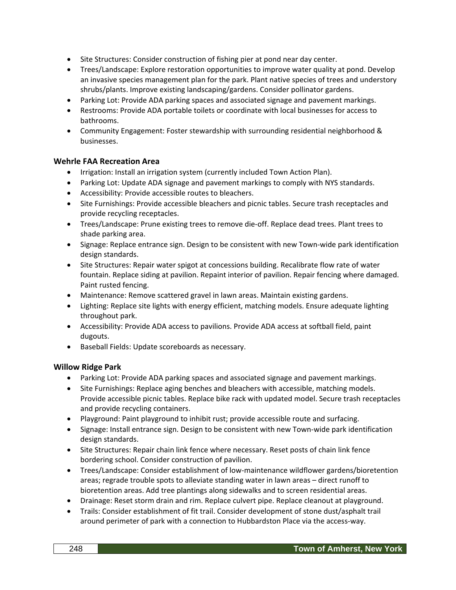- Site Structures: Consider construction of fishing pier at pond near day center.
- Trees/Landscape: Explore restoration opportunities to improve water quality at pond. Develop an invasive species management plan for the park. Plant native species of trees and understory shrubs/plants. Improve existing landscaping/gardens. Consider pollinator gardens.
- Parking Lot: Provide ADA parking spaces and associated signage and pavement markings.
- Restrooms: Provide ADA portable toilets or coordinate with local businesses for access to bathrooms.
- Community Engagement: Foster stewardship with surrounding residential neighborhood & businesses.

#### **Wehrle FAA Recreation Area**

- Irrigation: Install an irrigation system (currently included Town Action Plan).
- Parking Lot: Update ADA signage and pavement markings to comply with NYS standards.
- Accessibility: Provide accessible routes to bleachers.
- Site Furnishings: Provide accessible bleachers and picnic tables. Secure trash receptacles and provide recycling receptacles.
- Trees/Landscape: Prune existing trees to remove die-off. Replace dead trees. Plant trees to shade parking area.
- Signage: Replace entrance sign. Design to be consistent with new Town-wide park identification design standards.
- Site Structures: Repair water spigot at concessions building. Recalibrate flow rate of water fountain. Replace siding at pavilion. Repaint interior of pavilion. Repair fencing where damaged. Paint rusted fencing.
- Maintenance: Remove scattered gravel in lawn areas. Maintain existing gardens.
- Lighting: Replace site lights with energy efficient, matching models. Ensure adequate lighting throughout park.
- Accessibility: Provide ADA access to pavilions. Provide ADA access at softball field, paint dugouts.
- Baseball Fields: Update scoreboards as necessary.

#### **Willow Ridge Park**

- Parking Lot: Provide ADA parking spaces and associated signage and pavement markings.
- Site Furnishings: Replace aging benches and bleachers with accessible, matching models. Provide accessible picnic tables. Replace bike rack with updated model. Secure trash receptacles and provide recycling containers.
- Playground: Paint playground to inhibit rust; provide accessible route and surfacing.
- Signage: Install entrance sign. Design to be consistent with new Town-wide park identification design standards.
- Site Structures: Repair chain link fence where necessary. Reset posts of chain link fence bordering school. Consider construction of pavilion.
- Trees/Landscape: Consider establishment of low-maintenance wildflower gardens/bioretention areas; regrade trouble spots to alleviate standing water in lawn areas – direct runoff to bioretention areas. Add tree plantings along sidewalks and to screen residential areas.
- Drainage: Reset storm drain and rim. Replace culvert pipe. Replace cleanout at playground.
- Trails: Consider establishment of fit trail. Consider development of stone dust/asphalt trail around perimeter of park with a connection to Hubbardston Place via the access-way.